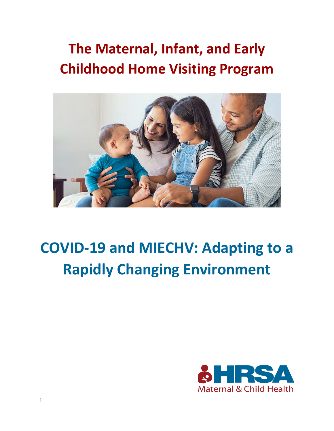## **The Maternal, Infant, and Early Childhood Home Visiting Program**



# **COVID-19 and MIECHV: Adapting to a Rapidly Changing Environment**

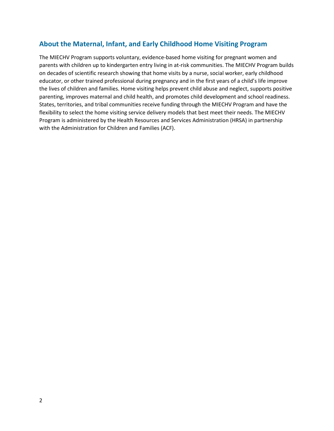### **About the Maternal, Infant, and Early Childhood Home Visiting Program**

The MIECHV Program supports voluntary, evidence-based home visiting for pregnant women and parents with children up to kindergarten entry living in at-risk communities. The MIECHV Program builds on decades of scientific research showing that home visits by a nurse, social worker, early childhood educator, or other trained professional during pregnancy and in the first years of a child's life improve the lives of children and families. Home visiting helps prevent child abuse and neglect, supports positive parenting, improves maternal and child health, and promotes child development and school readiness. States, territories, and tribal communities receive funding through the MIECHV Program and have the flexibility to select the home visiting service delivery models that best meet their needs. The MIECHV Program is administered by the Health Resources and Services Administration (HRSA) in partnership with the Administration for Children and Families (ACF).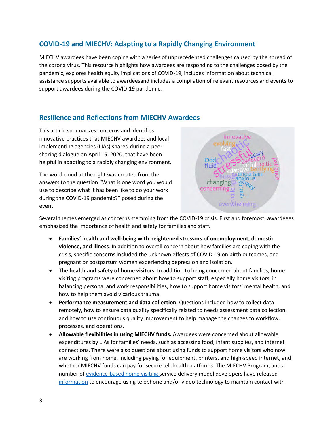## **COVID-19 and MIECHV: Adapting to a Rapidly Changing Environment**

MIECHV awardees have been coping with a series of unprecedented challenges caused by the spread of the corona virus. This resource highlights how awardees are responding to the challenges posed by the pandemic, explores health equity implications of COVID-19, includes information about technical assistance supports available to awardeesand includes a compilation of relevant resources and events to support awardees during the COVID-19 pandemic.

## **Resilience and Reflections from MIECHV Awardees**

This article summarizes concerns and identifies innovative practices that MIECHV awardees and local implementing agencies (LIAs) shared during a peer sharing dialogue on April 15, 2020, that have been helpful in adapting to a rapidly changing environment.

The word cloud at the right was created from the answers to the question "What is one word you would use to describe what it has been like to do your work during the COVID-19 pandemic?" posed during the event.



Several themes emerged as concerns stemming from the COVID-19 crisis. First and foremost, awardeees emphasized the importance of health and safety for families and staff.

- **Families' health and well-being with heightened stressors of unemployment, domestic violence, and illness**. In addition to overall concern about how families are coping with the crisis, specific concerns included the unknown effects of COVID-19 on birth outcomes, and pregnant or postpartum women experiencing depression and isolation.
- **The health and safety of home visitors**. In addition to being concerned about families, home visiting programs were concerned about how to support staff, especially home visitors, in balancing personal and work responsibilities, how to support home visitors' mental health, and how to help them avoid vicarious trauma.
- **Performance measurement and data collection**. Questions included how to collect data remotely, how to ensure data quality specifically related to needs assessment data collection, and how to use continuous quality improvement to help manage the changes to workflow, processes, and operations.
- **Allowable flexibilities in using MIECHV funds.** Awardees were concerned about allowable expenditures by LIAs for families' needs, such as accessing food, infant supplies, and internet connections. There were also questions about using funds to support home visitors who now are working from home, including paying for equipment, printers, and high-speed internet, and whether MIECHV funds can pay for secure telehealth platforms. The MIECHV Program, and a number o[f evidence-based home visiting s](https://homvee.acf.hhs.gov/)ervice delivery model developers have released [information](https://www.nationalalliancehvmodels.org/) to encourage using telephone and/or video technology to maintain contact with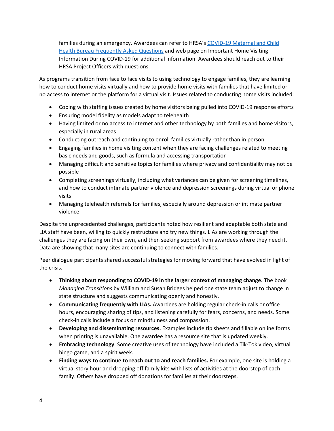families during an emergency. Awardees can refer to HRSA's [COVID-19 Maternal and Child](https://mchb.hrsa.gov/coronavirus-frequently-asked-questions)  Health Bureau [Frequently Asked Questions](https://mchb.hrsa.gov/coronavirus-frequently-asked-questions) and web page on Important Home Visiting Information During COVID-19 for additional information. Awardees should reach out to their HRSA Project Officers with questions.

As programs transition from face to face visits to using technology to engage families, they are learning how to conduct home visits virtually and how to provide home visits with families that have limited or no access to internet or the platform for a virtual visit. Issues related to conducting home visits included:

- Coping with staffing issues created by home visitors being pulled into COVID-19 response efforts
- Ensuring model fidelity as models adapt to telehealth
- Having limited or no access to internet and other technology by both families and home visitors, especially in rural areas
- Conducting outreach and continuing to enroll families virtually rather than in person
- Engaging families in home visiting content when they are facing challenges related to meeting basic needs and goods, such as formula and accessing transportation
- Managing difficult and sensitive topics for families where privacy and confidentiality may not be possible
- Completing screenings virtually, including what variances can be given for screening timelines, and how to conduct intimate partner violence and depression screenings during virtual or phone visits
- Managing telehealth referrals for families, especially around depression or intimate partner violence

Despite the unprecedented challenges, participants noted how resilient and adaptable both state and LIA staff have been, willing to quickly restructure and try new things. LIAs are working through the challenges they are facing on their own, and then seeking support from awardees where they need it. Data are showing that many sites are continuing to connect with families.

Peer dialogue participants shared successful strategies for moving forward that have evolved in light of the crisis.

- **Thinking about responding to COVID-19 in the larger context of managing change.** The book *Managing Transitions* by William and Susan Bridges helped one state team adjust to change in state structure and suggests communicating openly and honestly.
- **Communicating frequently with LIAs.** Awardees are holding regular check-in calls or office hours, encouraging sharing of tips, and listening carefully for fears, concerns, and needs. Some check-in calls include a focus on mindfulness and compassion.
- **Developing and disseminating resources.** Examples include tip sheets and fillable online forms when printing is unavailable. One awardee has a resource site that is updated weekly.
- **Embracing technology**. Some creative uses of technology have included a Tik-Tok video, virtual bingo game, and a spirit week.
- **Finding ways to continue to reach out to and reach families.** For example, one site is holding a virtual story hour and dropping off family kits with lists of activities at the doorstep of each family. Others have dropped off donations for families at their doorsteps.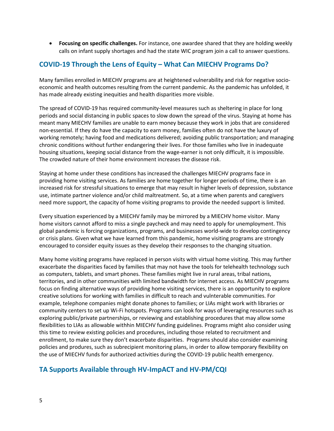• **Focusing on specific challenges.** For instance, one awardee shared that they are holding weekly calls on infant supply shortages and had the state WIC program join a call to answer questions.

## **COVID-19 Through the Lens of Equity – What Can MIECHV Programs Do?**

Many families enrolled in MIECHV programs are at heightened vulnerability and risk for negative socioeconomic and health outcomes resulting from the current pandemic. As the pandemic has unfolded, it has made already existing inequities and health disparities more visible.

The spread of COVID-19 has required community-level measures such as sheltering in place for long periods and social distancing in public spaces to slow down the spread of the virus. Staying at home has meant many MIECHV families are unable to earn money because they work in jobs that are considered non-essential. If they do have the capacity to earn money, families often do not have the luxury of working remotely; having food and medications delivered; avoiding public transportation; and managing chronic conditions without further endangering their lives. For those families who live in inadequate housing situations, keeping social distance from the wage-earner is not only difficult, it is impossible. The crowded nature of their home environment increases the disease risk.

Staying at home under these conditions has increased the challenges MIECHV programs face in providing home visiting services. As families are home together for longer periods of time, there is an increased risk for stressful situations to emerge that may result in higher levels of depression, substance use, intimate partner violence and/or child maltreatment. So, at a time when parents and caregivers need more support, the capacity of home visiting programs to provide the needed support is limited.

Every situation experienced by a MIECHV family may be mirrored by a MIECHV home visitor. Many home visitors cannot afford to miss a single paycheck and may need to apply for unemployment. This global pandemic is forcing organizations, programs, and businesses world-wide to develop contingency or crisis plans. Given what we have learned from this pandemic, home visiting programs are strongly encouraged to consider equity issues as they develop their responses to the changing situation.

Many home visiting programs have replaced in person visits with virtual home visiting. This may further exacerbate the disparities faced by families that may not have the tools for telehealth technology such as computers, tablets, and smart phones. These families might live in rural areas, tribal nations, territories, and in other communities with limited bandwidth for internet access. As MIECHV programs focus on finding alternative ways of providing home visiting services, there is an opportunity to explore creative solutions for working with families in difficult to reach and vulnterable communities. For example, telephone companies might donate phones to families; or LIAs might work with libraries or community centers to set up Wi-Fi hotspots. Programs can look for ways of leveraging resources such as exploring public/private partnerships, or reviewing and establishing procedures that may allow some flexibilities to LIAs as allowable withhin MIECHV funding guidelines. Programs might also consider using this time to review existing policies and procedures, including those related to recruitment and enrollment, to make sure they don't exacerbate disparities. Programs should also consider examining policies and produres, such as subrecipient monitoring plans, in order to allow temporary flexibility on the use of MIECHV funds for authorized activities during the COVID-19 public health emergency.

## **TA Supports Available through HV-ImpACT and HV-PM/CQI**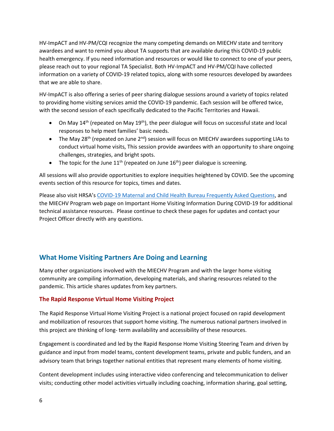HV-ImpACT and HV-PM/CQI recognize the many competing demands on MIECHV state and territory awardees and want to remind you about TA supports that are available during this COVID-19 public health emergency. If you need information and resources or would like to connect to one of your peers, please reach out to your regional TA Specialist. Both HV-ImpACT and HV-PM/CQI have collected information on a variety of COVID-19 related topics, along with some resources developed by awardees that we are able to share.

HV-ImpACT is also offering a series of peer sharing dialogue sessions around a variety of topics related to providing home visiting services amid the COVID-19 pandemic. Each session will be offered twice, with the second session of each specifically dedicated to the Pacific Territories and Hawaii.

- On May  $14^{th}$  (repeated on May  $19^{th}$ ), the peer dialogue will focus on successful state and local responses to help meet families' basic needs.
- The May 28<sup>th</sup> (repeated on June 2<sup>nd</sup>) session will focus on MIECHV awardees supporting LIAs to conduct virtual home visits, This session provide awardees with an opportunity to share ongoing challenges, strategies, and bright spots.
- The topic for the June  $11^{th}$  (repeated on June  $16^{th}$ ) peer dialogue is screening.

All sessions will also provide opportunities to explore inequities heightened by COVID. See the upcoming events section of this resource for topics, times and dates.

Please also visit HRSA's [COVID-19 Maternal and Child Health Bureau Frequently Asked Questions,](https://mchb.hrsa.gov/coronavirus-frequently-asked-questions) and the MIECHV Program web page on Important Home Visiting Information During COVID-19 for additional technical assistance resources. Please continue to check these pages for updates and contact your Project Officer directly with any questions.

## **What Home Visiting Partners Are Doing and Learning**

Many other organizations involved with the MIECHV Program and with the larger home visiting community are compiling information, developing materials, and sharing resources related to the pandemic. This article shares updates from key partners.

#### **The Rapid Response Virtual Home Visiting Project**

The Rapid Response Virtual Home Visiting Project is a national project focused on rapid development and mobilization of resources that support home visiting. The numerous national partners involved in this project are thinking of long- term availability and accessibility of these resources.

Engagement is coordinated and led by the Rapid Response Home Visiting Steering Team and driven by guidance and input from model teams, content development teams, private and public funders, and an advisory team that brings together national entities that represent many elements of home visiting.

Content development includes using interactive video conferencing and telecommunication to deliver visits; conducting other model activities virtually including coaching, information sharing, goal setting,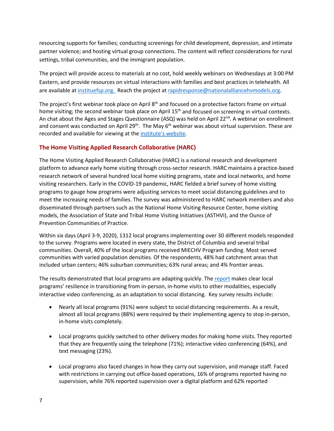resourcing supports for families; conducting screenings for child development, depression, and intimate partner violence; and hosting virtual group connections. The content will reflect considerations for rural settings, tribal communities, and the immigrant population.

The project will provide access to materials at no cost, hold weekly webinars on Wednesdays at 3:00 PM Eastern, and provide resources on virtual interactions with families and best practices in telehealth. All are available at instituefsp.org. Reach the project at [rapidresponse@nationalalliancehvmodels.org.](mailto:rapidresponse@nationalalliancehvmodels.org)

The project's first webinar took place on April 8<sup>th</sup> and focused on a protective factors frame on virtual home visiting; the second webinar took place on April 15<sup>th</sup> and focused on screening in virtual contexts. An chat about the Ages and Stages Questionnaire (ASQ) was held on April  $22^{nd}$ . A webinar on enrollment and consent was conducted on April 29<sup>th</sup>. The May  $6<sup>th</sup>$  webinar was about virtual supervision. These are recorded and available for viewing at the institute's website.

#### **The Home Visiting Applied Research Collaborative (HARC)**

The Home Visiting Applied Research Collaborative (HARC) is a national research and development platform to advance early home visiting through cross-sector research. HARC maintains a practice-based research network of several hundred local home visiting programs, state and local networks, and home visiting researchers. Early in the COVID-19 pandemic, HARC fielded a brief survey of home visiting programs to gauge how programs were adjusting services to meet social distancing guidelines and to meet the increasing needs of families. The survey was administered to HARC network members and also disseminated through partners such as the National Home Visiting Resource Center, home visiting models, the Association of State and Tribal Home Visiting Initiatives (ASTHVI), and the Ounce of Prevention Communities of Practice.

Within six days (April 3-9, 2020), 1312 local programs implementing over 30 different models responded to the survey. Programs were located in every state, the District of Columbia and several tribal communities. Overall, 40% of the local programs received MIECHV Program funding. Most served communities with varied population densities. Of the respondents, 48% had catchment areas that included urban centers; 46% suburban communities; 63% rural areas; and 4% frontier areas.

The results demonstrated that local programs are adapting quickly. Th[e report](https://www.hvresearch.org/wp-content/uploads/2020/04/COVID-19s-Early-Impact-on-Home-Visiting.pdf) makes clear local programs' resilience in transitioning from in-person, in-home visits to other modalities, especially interactive video conferencing, as an adaptation to social distancing. Key survey results include:

- Nearly all local programs (91%) were subject to social distancing requirements. As a result, almost all local programs (88%) were required by their implementing agency to stop in-person, in-home visits completely.
- Local programs quickly switched to other delivery modes for making home visits. They reported that they are frequently using the telephone (71%); interactive video conferencing (64%), and text messaging (23%).
- Local programs also faced changes in how they carry out supervision, and manage staff. Faced with restrictions in carrying out office-based operations, 16% of programs reported having no supervision, while 76% reported supervision over a digital platform and 62% reported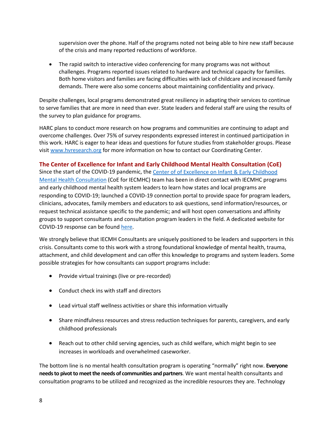supervision over the phone. Half of the programs noted not being able to hire new staff because of the crisis and many reported reductions of workforce.

• The rapid switch to interactive video conferencing for many programs was not without challenges. Programs reported issues related to hardware and technical capacity for families. Both home visitors and families are facing difficulties with lack of childcare and increased family demands. There were also some concerns about maintaining confidentiality and privacy.

Despite challenges, local programs demonstrated great resiliency in adapting their services to continue to serve families that are more in need than ever. State leaders and federal staff are using the results of the survey to plan guidance for programs.

HARC plans to conduct more research on how programs and communities are continuing to adapt and overcome challenges. Over 75% of survey respondents expressed interest in continued participation in this work. HARC is eager to hear ideas and questions for future studies from stakeholder groups. Please visi[t www.hvresearch.org](http://www.hvresearch.org/) for more information on how to contact our Coordinating Center.

#### **The Center of Excellence for Infant and Early Childhood Mental Health Consultation (CoE)**

Since the start of the COVID-19 pandemic, the Center of of Excellence on Infant & Early Childhood [Mental Health Consultation](https://www.iecmhc.org/) (CoE for IECMHC) team has been in direct contact with IECMHC programs and early childhood mental health system leaders to learn how states and local programs are responding to COVID-19; launched a COVID-19 connection portal to provide space for program leaders, clinicians, advocates, family members and educators to ask questions, send information/resources, or request technical assistance specific to the pandemic; and will host open conversations and affinity groups to support consultants and consultation program leaders in the field. A dedicated website for COVID-19 response can be found [here.](https://www.iecmhc.org/covid-19/)

We strongly believe that IECMH Consultants are uniquely positioned to be leaders and supporters in this crisis. Consultants come to this work with a strong foundational knowledge of mental health, trauma, attachment, and child development and can offer this knowledge to programs and system leaders. Some possible strategies for how consultants can support programs include:

- Provide virtual trainings (live or pre-recorded)
- Conduct check ins with staff and directors
- Lead virtual staff wellness activities or share this information virtually
- Share mindfulness resources and stress reduction techniques for parents, caregivers, and early childhood professionals
- Reach out to other child serving agencies, such as child welfare, which might begin to see increases in workloads and overwhelmed caseworker.

The bottom line is no mental health consultation program is operating "normally" right now. **Everyone needs to pivot to meet the needs of communities and partners**. We want mental health consultants and consultation programs to be utilized and recognized as the incredible resources they are. Technology